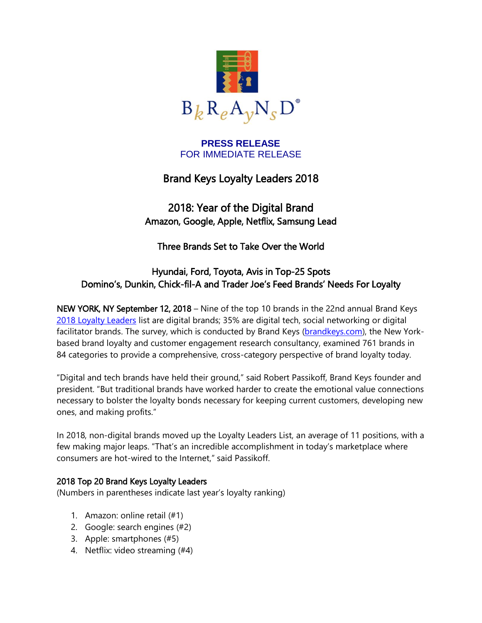

#### **PRESS RELEASE** FOR IMMEDIATE RELEASE

# Brand Keys Loyalty Leaders 2018

2018: Year of the Digital Brand Amazon, Google, Apple, Netflix, Samsung Lead

Three Brands Set to Take Over the World

## Hyundai, Ford, Toyota, Avis in Top-25 Spots Domino's, Dunkin, Chick-fil-A and Trader Joe's Feed Brands' Needs For Loyalty

NEW YORK, NY September 12, 2018 – Nine of the top 10 brands in the 22nd annual Brand Keys [2018 Loyalty Leaders](http://brandkeys.com/wp-content/uploads/2018/09/2018-Loyalty-Leaders-Top-100-List.pdf) list are digital brands; 35% are digital tech, social networking or digital facilitator brands. The survey, which is conducted by Brand Keys [\(brandkeys.com\)](http://www.brandkeys.com/), the New Yorkbased brand loyalty and customer engagement research consultancy, examined 761 brands in 84 categories to provide a comprehensive, cross-category perspective of brand loyalty today.

"Digital and tech brands have held their ground," said Robert Passikoff, Brand Keys founder and president. "But traditional brands have worked harder to create the emotional value connections necessary to bolster the loyalty bonds necessary for keeping current customers, developing new ones, and making profits."

In 2018, non-digital brands moved up the Loyalty Leaders List, an average of 11 positions, with a few making major leaps. "That's an incredible accomplishment in today's marketplace where consumers are hot-wired to the Internet," said Passikoff.

## 2018 Top 20 Brand Keys Loyalty Leaders

(Numbers in parentheses indicate last year's loyalty ranking)

- 1. Amazon: online retail (#1)
- 2. Google: search engines (#2)
- 3. Apple: smartphones (#5)
- 4. Netflix: video streaming (#4)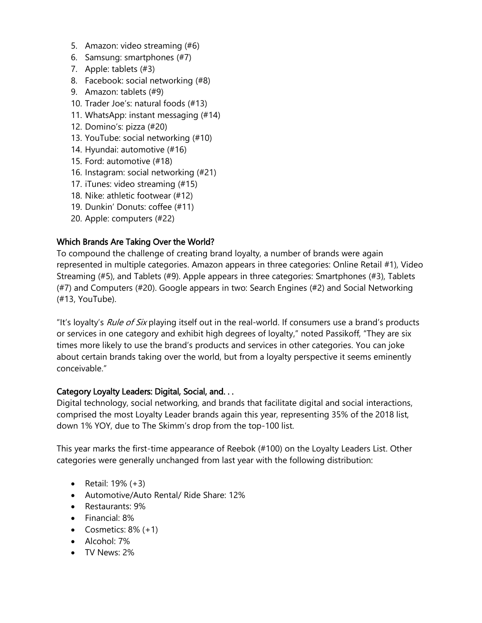- 5. Amazon: video streaming (#6)
- 6. Samsung: smartphones (#7)
- 7. Apple: tablets (#3)
- 8. Facebook: social networking (#8)
- 9. Amazon: tablets (#9)
- 10. Trader Joe's: natural foods (#13)
- 11. WhatsApp: instant messaging (#14)
- 12. Domino's: pizza (#20)
- 13. YouTube: social networking (#10)
- 14. Hyundai: automotive (#16)
- 15. Ford: automotive (#18)
- 16. Instagram: social networking (#21)
- 17. iTunes: video streaming (#15)
- 18. Nike: athletic footwear (#12)
- 19. Dunkin' Donuts: coffee (#11)
- 20. Apple: computers (#22)

## Which Brands Are Taking Over the World?

To compound the challenge of creating brand loyalty, a number of brands were again represented in multiple categories. Amazon appears in three categories: Online Retail #1), Video Streaming (#5), and Tablets (#9). Apple appears in three categories: Smartphones (#3), Tablets (#7) and Computers (#20). Google appears in two: Search Engines (#2) and Social Networking (#13, YouTube).

"It's loyalty's *Rule of Six* playing itself out in the real-world. If consumers use a brand's products or services in one category and exhibit high degrees of loyalty," noted Passikoff, "They are six times more likely to use the brand's products and services in other categories. You can joke about certain brands taking over the world, but from a loyalty perspective it seems eminently conceivable."

#### Category Loyalty Leaders: Digital, Social, and. . .

Digital technology, social networking, and brands that facilitate digital and social interactions, comprised the most Loyalty Leader brands again this year, representing 35% of the 2018 list, down 1% YOY, due to The Skimm's drop from the top-100 list.

This year marks the first-time appearance of Reebok (#100) on the Loyalty Leaders List. Other categories were generally unchanged from last year with the following distribution:

- Retail: 19% (+3)
- Automotive/Auto Rental/ Ride Share: 12%
- Restaurants: 9%
- Financial: 8%
- Cosmetics:  $8\% (+1)$
- Alcohol: 7%
- TV News: 2%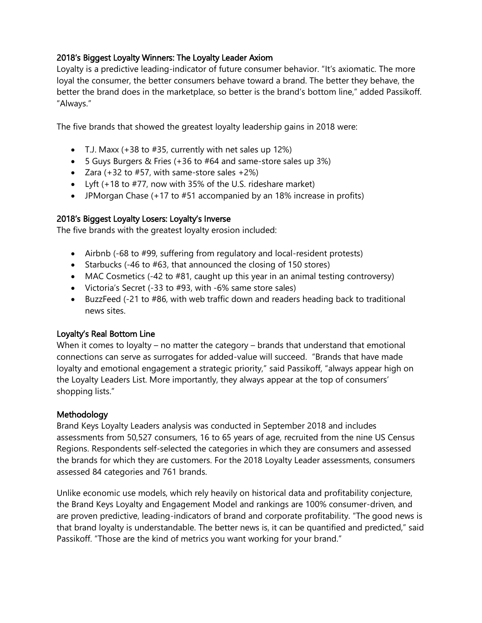#### 2018's Biggest Loyalty Winners: The Loyalty Leader Axiom

Loyalty is a predictive leading-indicator of future consumer behavior. "It's axiomatic. The more loyal the consumer, the better consumers behave toward a brand. The better they behave, the better the brand does in the marketplace, so better is the brand's bottom line," added Passikoff. "Always."

The five brands that showed the greatest loyalty leadership gains in 2018 were:

- T.J. Maxx  $(+38$  to  $#35$ , currently with net sales up 12%)
- 5 Guys Burgers & Fries (+36 to #64 and same-store sales up 3%)
- Zara  $(+32 \text{ to } #57)$ , with same-store sales  $+2\%$ )
- Lyft (+18 to #77, now with 35% of the U.S. rideshare market)
- JPMorgan Chase (+17 to #51 accompanied by an 18% increase in profits)

#### 2018's Biggest Loyalty Losers: Loyalty's Inverse

The five brands with the greatest loyalty erosion included:

- Airbnb (-68 to #99, suffering from regulatory and local-resident protests)
- Starbucks (-46 to #63, that announced the closing of 150 stores)
- MAC Cosmetics (-42 to #81, caught up this year in an animal testing controversy)
- Victoria's Secret (-33 to #93, with -6% same store sales)
- BuzzFeed (-21 to #86, with web traffic down and readers heading back to traditional news sites.

## Loyalty's Real Bottom Line

When it comes to loyalty – no matter the category – brands that understand that emotional connections can serve as surrogates for added-value will succeed. "Brands that have made loyalty and emotional engagement a strategic priority," said Passikoff, "always appear high on the Loyalty Leaders List. More importantly, they always appear at the top of consumers' shopping lists."

## Methodology

Brand Keys Loyalty Leaders analysis was conducted in September 2018 and includes assessments from 50,527 consumers, 16 to 65 years of age, recruited from the nine US Census Regions. Respondents self-selected the categories in which they are consumers and assessed the brands for which they are customers. For the 2018 Loyalty Leader assessments, consumers assessed 84 categories and 761 brands.

Unlike economic use models, which rely heavily on historical data and profitability conjecture, the Brand Keys Loyalty and Engagement Model and rankings are 100% consumer-driven, and are proven predictive, leading-indicators of brand and corporate profitability. "The good news is that brand loyalty is understandable. The better news is, it can be quantified and predicted," said Passikoff. "Those are the kind of metrics you want working for your brand."